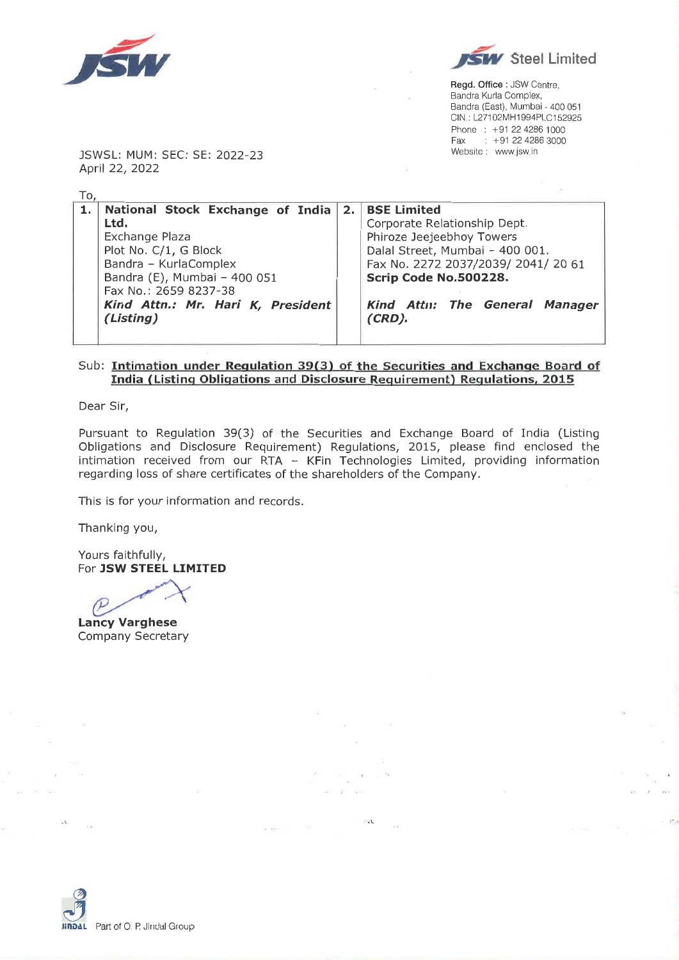



Regd. Office : JSW Centre, Bandra Kurla Complex, Bandra (East), Mumbai - 400 051 CIN: L27102MH1994PLC152925 Phone: +91 22 4286 1000 Fax : +91 22 4286 3000 Website: www.jsw.in

JSWSL: MUM: SEC: SE: 2022-23 April 22, 2022

 $T_0$ 

| 1. National Stock Exchange of India 2. BSE Limited |  |                                     |  |  |  |  |  |  |  |
|----------------------------------------------------|--|-------------------------------------|--|--|--|--|--|--|--|
| Ltd.                                               |  | Corporate Relationship Dept.        |  |  |  |  |  |  |  |
| Exchange Plaza                                     |  | Phiroze Jeejeebhoy Towers           |  |  |  |  |  |  |  |
| Plot No. C/1, G Block                              |  | Dalal Street, Mumbai - 400 001.     |  |  |  |  |  |  |  |
| Bandra - KurlaComplex                              |  | Fax No. 2272 2037/2039/ 2041/ 20 61 |  |  |  |  |  |  |  |
| Bandra (E), Mumbai - 400 051                       |  | Scrip Code No.500228.               |  |  |  |  |  |  |  |
| Fax No.: 2659 8237-38                              |  |                                     |  |  |  |  |  |  |  |
| Kind Attn.: Mr. Hari K, President                  |  | Kind Attn: The General Manager      |  |  |  |  |  |  |  |
| (Listing)                                          |  | $(CRD)$ .                           |  |  |  |  |  |  |  |
|                                                    |  |                                     |  |  |  |  |  |  |  |
|                                                    |  |                                     |  |  |  |  |  |  |  |

## Sub: Intimation under Regulation 39(3) of the Securities and Exchange Board of India (Listing Obligations and Disclosure Requirement) Regulations, 2015

Dear Sir,

Pursuant to Regulation 39(3) of the Securities and Exchange Board of India (Listing Obligations and Disclosure Requirement) Regulations, 2015, please find enclosed the intimation received from our RTA - KFin Technologies Limited, providing information regarding loss of share certificates of the shareholders of the Company.

 $\tilde{\Gamma}$  . <br> <br> <br> <br> <br> <br> <br> <br> <br> <br><br><br><br><br><br><br><br><br><br><br><br>

18, 65-4

 $-44$ 

This is for your information and records.

Thanking you,

Yours faithfully, For JSW STEEL LIMITED

 $\mathcal{P}$ 

**Lancy Varghese Company Secretary** 



ú.

 $\sim$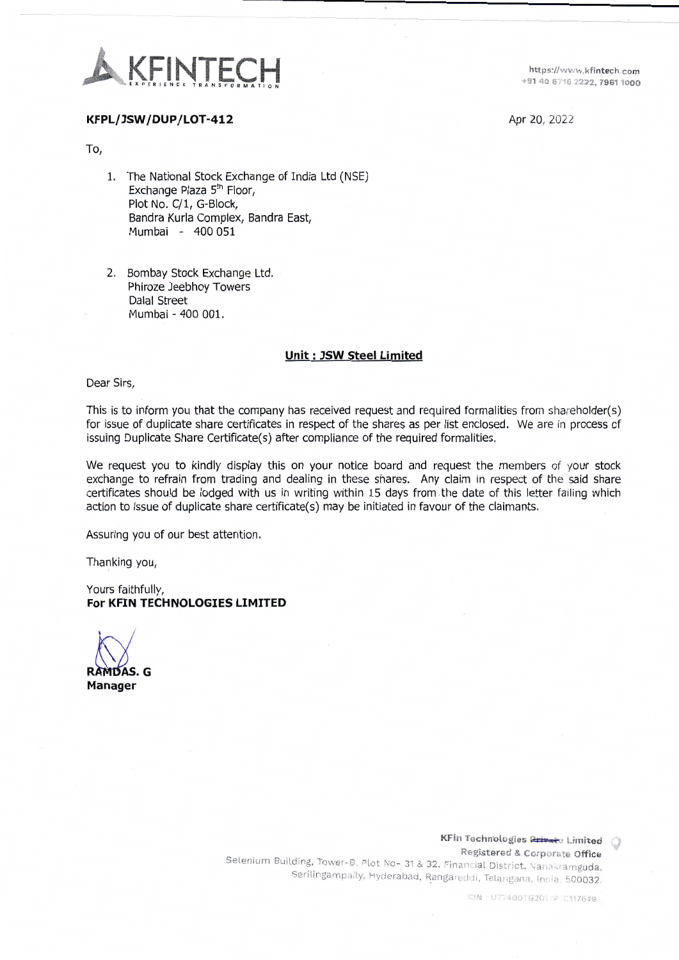

https://www.kfintech.com +91 40 6716 2222, 7961 1000

Apr 20, 2022

## KFPL/JSW/DUP/LOT-412

To,

- 1. The National Stock Exchange of India Ltd (NSE) Exchange Plaza 5<sup>th</sup> Floor, Plot No. C/1, G-Block, Bandra Kurla Complex, Bandra East, Mumbai - 400 051
- 2. Bombay Stock Exchange Ltd. Phiroze Jeebhoy Towers **Dalal Street** Mumbai - 400 001.

## **Unit: JSW Steel Limited**

Dear Sirs,

This is to inform you that the company has received request and required formalities from shareholder(s) for issue of duplicate share certificates in respect of the shares as per list enclosed. We are in process of issuing Duplicate Share Certificate(s) after compliance of the required formalities.

We request you to kindly display this on your notice board and request the members of your stock exchange to refrain from trading and dealing in these shares. Any claim in respect of the said share certificates should be lodged with us in writing within 15 days from the date of this letter failing which action to issue of duplicate share certificate(s) may be initiated in favour of the claimants.

Assuring you of our best attention.

Thanking you,

Yours faithfully, For KFIN TECHNOLOGIES LIMITED

RAMDAS. G **Manager** 

KFin Technologies Private Limited () Registered & Corporate Office Selenium Building, Tower-B, Plot No- 31 & 32, Financial District, Nanakramguda, Serilingampally, Hyderabad, Rangareddi, Telangana, India, 500032.

CIN : U72400TG201/P1C117649